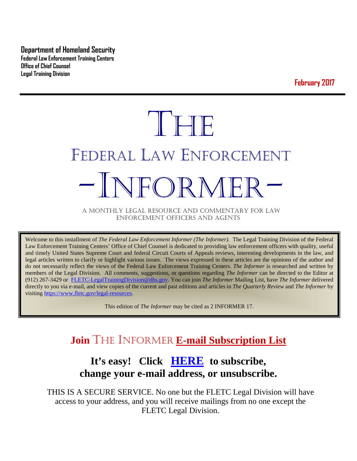**Department of Homeland Security Federal Law Enforcement Training Centers Office of Chief Counsel Legal Training Division** 

**February 2017**

# THE FEDERAL LAW ENFORCEMENT -INFORMER- A MONTHLY LEGAL RESOURCE AND COMMENTARY FOR LAW

ENFORCEMENT OFFICERS AND AGENTS

Welcome to this installment of *The Federal Law Enforcement Informer (The Informer).* The Legal Training Division of the Federal Law Enforcement Training Centers' Office of Chief Counsel is dedicated to providing law enforcement officers with quality, useful and timely United States Supreme Court and federal Circuit Courts of Appeals reviews, interesting developments in the law, and legal articles written to clarify or highlight various issues. The views expressed in these articles are the opinions of the author and do not necessarily reflect the views of the Federal Law Enforcement Training Centers. *The Informer* is researched and written by members of the Legal Division. All comments, suggestions, or questions regarding *The Informer* can be directed to the Editor at (912) 267-3429 or [FLETC-LegalTrainingDivision@dhs.gov.](mailto:FLETC-LegalTrainingDivision@dhs.gov) You can join *The Informer* Mailing List, have *The Informer* delivered directly to you via e-mail, and view copies of the current and past editions and articles in *The Quarterly Review* and *The Informer* by visiting [https://www.fletc.gov/legal-resources.](https://www.fletc.gov/legal-resources) 

This edition of *The Informer* may be cited as 2 INFORMER 17.

# **Join** THE INFORMER **E-mail Subscription List**

# **It's easy! Click [HERE](http://peach.ease.lsoft.com/scripts/wa.exe?SUBED1=fletclgd&A=1) to subscribe, change your e-mail address, or unsubscribe.**

THIS IS A SECURE SERVICE. No one but the FLETC Legal Division will have access to your address, and you will receive mailings from no one except the FLETC Legal Division.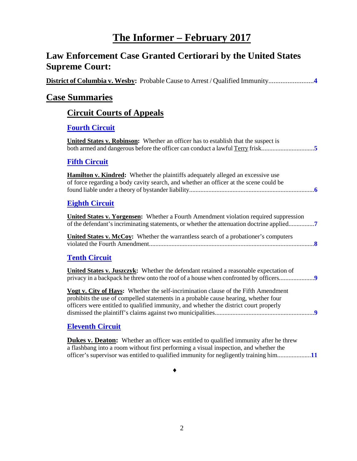# **The Informer – February 2017**

# **Law Enforcement Case Granted Certiorari by the United States Supreme Court:**

| District of Columbia v. Wesby: Probable Cause to Arrest / Qualified Immunity                                                                                                                                                                                       |
|--------------------------------------------------------------------------------------------------------------------------------------------------------------------------------------------------------------------------------------------------------------------|
| <b>Case Summaries</b>                                                                                                                                                                                                                                              |
| <b>Circuit Courts of Appeals</b>                                                                                                                                                                                                                                   |
| <b>Fourth Circuit</b>                                                                                                                                                                                                                                              |
| <b>United States v. Robinson:</b> Whether an officer has to establish that the suspect is<br>both armed and dangerous before the officer can conduct a lawful Terry frisk5                                                                                         |
| <b>Fifth Circuit</b>                                                                                                                                                                                                                                               |
| <b>Hamilton v. Kindred:</b> Whether the plaintiffs adequately alleged an excessive use<br>of force regarding a body cavity search, and whether an officer at the scene could be                                                                                    |
| <b>Eighth Circuit</b>                                                                                                                                                                                                                                              |
| <b>United States v. Yorgensen:</b> Whether a Fourth Amendment violation required suppression<br>of the defendant's incriminating statements, or whether the attenuation doctrine applied7                                                                          |
| United States v. McCoy: Whether the warrantless search of a probationer's computers                                                                                                                                                                                |
| <b>Tenth Circuit</b>                                                                                                                                                                                                                                               |
| United States v. Juszczyk: Whether the defendant retained a reasonable expectation of                                                                                                                                                                              |
| Vogt v. City of Hays: Whether the self-incrimination clause of the Fifth Amendment<br>prohibits the use of compelled statements in a probable cause hearing, whether four<br>officers were entitled to qualified immunity, and whether the district court properly |
| <b>Eleventh Circuit</b>                                                                                                                                                                                                                                            |

**Dukes v. Deaton:** Whether an officer was entitled to qualified immunity after he threw a flashbang into a room without first performing a visual inspection, and whether the officer's supervisor was entitled to qualified immunity for negligently training him.....................**[11](#page-10-0)**

♦

2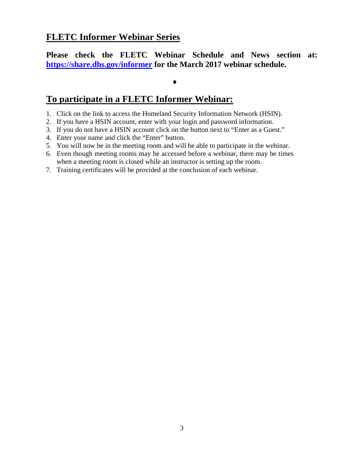## **FLETC Informer Webinar Series**

**Please check the FLETC Webinar Schedule and News section at: <https://share.dhs.gov/informer> for the March 2017 webinar schedule.**

#### ♦

### **To participate in a FLETC Informer Webinar:**

- 1. Click on the link to access the Homeland Security Information Network (HSIN).
- 2. If you have a HSIN account, enter with your login and password information.
- 3. If you do not have a HSIN account click on the button next to "Enter as a Guest."
- 4. Enter your name and click the "Enter" button.
- 5. You will now be in the meeting room and will be able to participate in the webinar.
- 6. Even though meeting rooms may be accessed before a webinar, there may be times when a meeting room is closed while an instructor is setting up the room.
- 7. Training certificates will be provided at the conclusion of each webinar.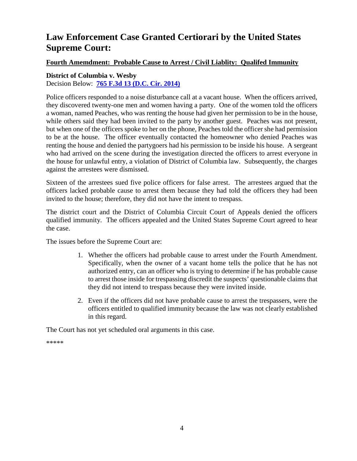# **Law Enforcement Case Granted Certiorari by the United States Supreme Court:**

#### **Fourth Amemdment: Probable Cause to Arrest / Civil Liablity: Qualifed Immunity**

<span id="page-3-0"></span>**District of Columbia v. Wesby** Decision Below: **[765 F.3d 13 \(D.C. Cir. 2014\)](http://cases.justia.com/federal/appellate-courts/cadc/12-7127/12-7127-2014-09-02.pdf?ts=1411135821)**

Police officers responded to a noise disturbance call at a vacant house. When the officers arrived, they discovered twenty-one men and women having a party. One of the women told the officers a woman, named Peaches, who was renting the house had given her permission to be in the house, while others said they had been invited to the party by another guest. Peaches was not present, but when one of the officers spoke to her on the phone, Peaches told the officer she had permission to be at the house. The officer eventually contacted the homeowner who denied Peaches was renting the house and denied the partygoers had his permission to be inside his house. A sergeant who had arrived on the scene during the investigation directed the officers to arrest everyone in the house for unlawful entry, a violation of District of Columbia law. Subsequently, the charges against the arrestees were dismissed.

Sixteen of the arrestees sued five police officers for false arrest. The arrestees argued that the officers lacked probable cause to arrest them because they had told the officers they had been invited to the house; therefore, they did not have the intent to trespass.

The district court and the District of Columbia Circuit Court of Appeals denied the officers qualified immunity. The officers appealed and the United States Supreme Court agreed to hear the case.

The issues before the Supreme Court are:

- 1. Whether the officers had probable cause to arrest under the Fourth Amendment. Specifically, when the owner of a vacant home tells the police that he has not authorized entry, can an officer who is trying to determine if he has probable cause to arrest those inside for trespassing discredit the suspects' questionable claims that they did not intend to trespass because they were invited inside.
- 2. Even if the officers did not have probable cause to arrest the trespassers, were the officers entitled to qualified immunity because the law was not clearly established in this regard.

The Court has not yet scheduled oral arguments in this case.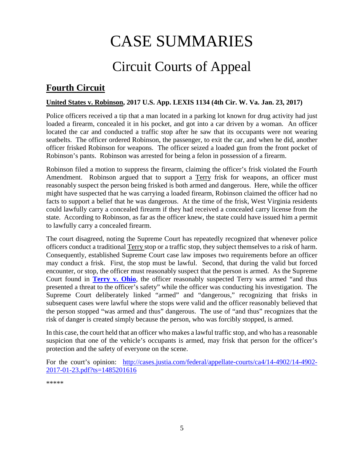# CASE SUMMARIES

# Circuit Courts of Appeal

# <span id="page-4-1"></span><span id="page-4-0"></span>**Fourth Circuit**

#### <span id="page-4-2"></span>**United States v. Robinson, 2017 U.S. App. LEXIS 1134 (4th Cir. W. Va. Jan. 23, 2017)**

Police officers received a tip that a man located in a parking lot known for drug activity had just loaded a firearm, concealed it in his pocket, and got into a car driven by a woman. An officer located the car and conducted a traffic stop after he saw that its occupants were not wearing seatbelts. The officer ordered Robinson, the passenger, to exit the car, and when he did, another officer frisked Robinson for weapons. The officer seized a loaded gun from the front pocket of Robinson's pants. Robinson was arrested for being a felon in possession of a firearm.

Robinson filed a motion to suppress the firearm, claiming the officer's frisk violated the Fourth Amendment. Robinson argued that to support a Terry frisk for weapons, an officer must reasonably suspect the person being frisked is both armed and dangerous. Here, while the officer might have suspected that he was carrying a loaded firearm, Robinson claimed the officer had no facts to support a belief that he was dangerous. At the time of the frisk, West Virginia residents could lawfully carry a concealed firearm if they had received a concealed carry license from the state. According to Robinson, as far as the officer knew, the state could have issued him a permit to lawfully carry a concealed firearm.

The court disagreed, noting the Supreme Court has repeatedly recognized that whenever police officers conduct a traditional Terry stop or a traffic stop, they subject themselves to a risk of harm. Consequently, established Supreme Court case law imposes two requirements before an officer may conduct a frisk. First, the stop must be lawful. Second, that during the valid but forced encounter, or stop, the officer must reasonably suspect that the person is armed. As the Supreme Court found in **[Terry v. Ohio](https://www.law.cornell.edu/supremecourt/text/392/1)**, the officer reasonably suspected Terry was armed "and thus presented a threat to the officer's safety" while the officer was conducting his investigation. The Supreme Court deliberately linked "armed" and "dangerous," recognizing that frisks in subsequent cases were lawful where the stops were valid and the officer reasonably believed that the person stopped "was armed and thus" dangerous. The use of "and thus" recognizes that the risk of danger is created simply because the person, who was forcibly stopped, is armed.

In this case, the court held that an officer who makes a lawful traffic stop, and who has a reasonable suspicion that one of the vehicle's occupants is armed, may frisk that person for the officer's protection and the safety of everyone on the scene.

For the court's opinion: [http://cases.justia.com/federal/appellate-courts/ca4/14-4902/14-4902-](http://cases.justia.com/federal/appellate-courts/ca4/14-4902/14-4902-2017-01-23.pdf?ts=1485201616) [2017-01-23.pdf?ts=1485201616](http://cases.justia.com/federal/appellate-courts/ca4/14-4902/14-4902-2017-01-23.pdf?ts=1485201616)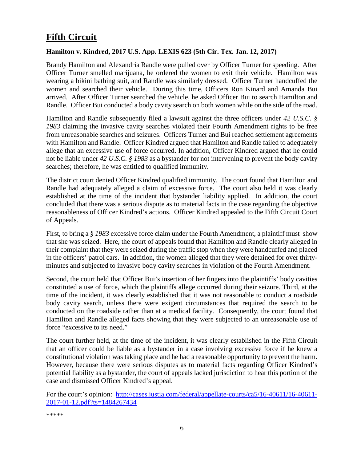# <span id="page-5-0"></span>**Fifth Circuit**

#### <span id="page-5-1"></span>**Hamilton v. Kindred, 2017 U.S. App. LEXIS 623 (5th Cir. Tex. Jan. 12, 2017)**

Brandy Hamilton and Alexandria Randle were pulled over by Officer Turner for speeding. After Officer Turner smelled marijuana, he ordered the women to exit their vehicle. Hamilton was wearing a bikini bathing suit, and Randle was similarly dressed. Officer Turner handcuffed the women and searched their vehicle. During this time, Officers Ron Kinard and Amanda Bui arrived. After Officer Turner searched the vehicle, he asked Officer Bui to search Hamilton and Randle. Officer Bui conducted a body cavity search on both women while on the side of the road.

Hamilton and Randle subsequently filed a lawsuit against the three officers under *42 U.S.C. § 1983* claiming the invasive cavity searches violated their Fourth Amendment rights to be free from unreasonable searches and seizures. Officers Turner and Bui reached settlement agreements with Hamilton and Randle. Officer Kindred argued that Hamilton and Randle failed to adequately allege that an excessive use of force occurred. In addition, Officer Kindred argued that he could not be liable under *42 U.S.C. § 1983* as a bystander for not intervening to prevent the body cavity searches; therefore, he was entitled to qualified immunity.

The district court denied Officer Kindred qualified immunity. The court found that Hamilton and Randle had adequately alleged a claim of excessive force. The court also held it was clearly established at the time of the incident that bystander liability applied. In addition, the court concluded that there was a serious dispute as to material facts in the case regarding the objective reasonableness of Officer Kindred's actions. Officer Kindred appealed to the Fifth Circuit Court of Appeals.

First, to bring a *§ 1983* excessive force claim under the Fourth Amendment, a plaintiff must show that she was seized. Here, the court of appeals found that Hamilton and Randle clearly alleged in their complaint that they were seized during the traffic stop when they were handcuffed and placed in the officers' patrol cars. In addition, the women alleged that they were detained for over thirtyminutes and subjected to invasive body cavity searches in violation of the Fourth Amendment.

Second, the court held that Officer Bui's insertion of her fingers into the plaintiffs' body cavities constituted a use of force, which the plaintiffs allege occurred during their seizure. Third, at the time of the incident, it was clearly established that it was not reasonable to conduct a roadside body cavity search, unless there were exigent circumstances that required the search to be conducted on the roadside rather than at a medical facility. Consequently, the court found that Hamilton and Randle alleged facts showing that they were subjected to an unreasonable use of force "excessive to its need."

The court further held, at the time of the incident, it was clearly established in the Fifth Circuit that an officer could be liable as a bystander in a case involving excessive force if he knew a constitutional violation was taking place and he had a reasonable opportunity to prevent the harm. However, because there were serious disputes as to material facts regarding Officer Kindred's potential liability as a bystander, the court of appeals lacked jurisdiction to hear this portion of the case and dismissed Officer Kindred's appeal.

For the court's opinion: [http://cases.justia.com/federal/appellate-courts/ca5/16-40611/16-40611-](http://cases.justia.com/federal/appellate-courts/ca5/16-40611/16-40611-2017-01-12.pdf?ts=1484267434) [2017-01-12.pdf?ts=1484267434](http://cases.justia.com/federal/appellate-courts/ca5/16-40611/16-40611-2017-01-12.pdf?ts=1484267434)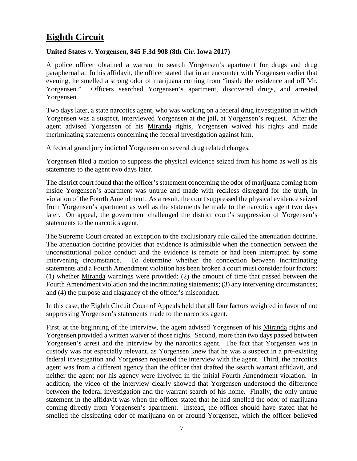# <span id="page-6-0"></span>**Eighth Circuit**

#### <span id="page-6-1"></span>**United States v. Yorgensen, 845 F.3d 908 (8th Cir. Iowa 2017)**

A police officer obtained a warrant to search Yorgensen's apartment for drugs and drug paraphernalia. In his affidavit, the officer stated that in an encounter with Yorgensen earlier that evening, he smelled a strong odor of marijuana coming from "inside the residence and off Mr. Yorgensen." Officers searched Yorgensen's apartment, discovered drugs, and arrested Yorgensen.

Two days later, a state narcotics agent, who was working on a federal drug investigation in which Yorgensen was a suspect, interviewed Yorgensen at the jail, at Yorgensen's request. After the agent advised Yorgensen of his Miranda rights, Yorgensen waived his rights and made incriminating statements concerning the federal investigation against him.

A federal grand jury indicted Yorgensen on several drug related charges.

Yorgensen filed a motion to suppress the physical evidence seized from his home as well as his statements to the agent two days later.

The district court found that the officer's statement concerning the odor of marijuana coming from inside Yorgensen's apartment was untrue and made with reckless disregard for the truth, in violation of the Fourth Amendment. As a result, the court suppressed the physical evidence seized from Yorgensen's apartment as well as the statements he made to the narcotics agent two days later. On appeal, the government challenged the district court's suppression of Yorgensen's statements to the narcotics agent.

The Supreme Court created an exception to the exclusionary rule called the attenuation doctrine. The attenuation doctrine provides that evidence is admissible when the connection between the unconstitutional police conduct and the evidence is remote or had been interrupted by some intervening circumstance. To determine whether the connection between incriminating statements and a Fourth Amendment violation has been broken a court must consider four factors: (1) whether Miranda warnings were provided; (2) the amount of time that passed between the Fourth Amendment violation and the incriminating statements; (3) any intervening circumstances; and (4) the purpose and flagrancy of the officer's misconduct.

In this case, the Eighth Circuit Court of Appeals held that all four factors weighted in favor of not suppressing Yorgensen's statements made to the narcotics agent.

First, at the beginning of the interview, the agent advised Yorgensen of his Miranda rights and Yorgensen provided a written waiver of those rights. Second, more than two days passed between Yorgensen's arrest and the interview by the narcotics agent. The fact that Yorgensen was in custody was not especially relevant, as Yorgensen knew that he was a suspect in a pre-existing federal investigation and Yorgensen requested the interview with the agent. Third, the narcotics agent was from a different agency than the officer that drafted the search warrant affidavit, and neither the agent nor his agency were involved in the initial Fourth Amendment violation. In addition, the video of the interview clearly showed that Yorgensen understood the difference between the federal investigation and the warrant search of his home. Finally, the only untrue statement in the affidavit was when the officer stated that he had smelled the odor of marijuana coming directly from Yorgensen's apartment. Instead, the officer should have stated that he smelled the dissipating odor of marijuana on or around Yorgensen, which the officer believed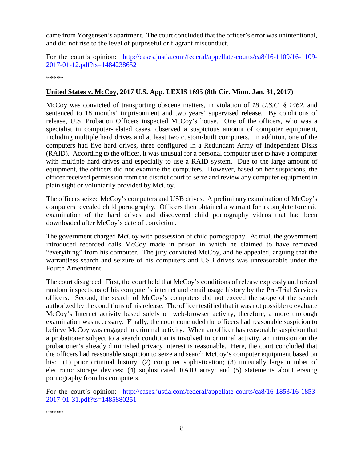came from Yorgensen's apartment. The court concluded that the officer's error was unintentional, and did not rise to the level of purposeful or flagrant misconduct.

For the court's opinion: [http://cases.justia.com/federal/appellate-courts/ca8/16-1109/16-1109-](http://cases.justia.com/federal/appellate-courts/ca8/16-1109/16-1109-2017-01-12.pdf?ts=1484238652) [2017-01-12.pdf?ts=1484238652](http://cases.justia.com/federal/appellate-courts/ca8/16-1109/16-1109-2017-01-12.pdf?ts=1484238652)

\*\*\*\*\*

#### <span id="page-7-0"></span>**United States v. McCoy, 2017 U.S. App. LEXIS 1695 (8th Cir. Minn. Jan. 31, 2017)**

McCoy was convicted of transporting obscene matters, in violation of *18 U.S.C. § 1462*, and sentenced to 18 months' imprisonment and two years' supervised release. By conditions of release, U.S. Probation Officers inspected McCoy's house. One of the officers, who was a specialist in computer-related cases, observed a suspicious amount of computer equipment, including multiple hard drives and at least two custom-built computers. In addition, one of the computers had five hard drives, three configured in a Redundant Array of Independent Disks (RAID). According to the officer, it was unusual for a personal computer user to have a computer with multiple hard drives and especially to use a RAID system. Due to the large amount of equipment, the officers did not examine the computers. However, based on her suspicions, the officer received permission from the district court to seize and review any computer equipment in plain sight or voluntarily provided by McCoy.

The officers seized McCoy's computers and USB drives. A preliminary examination of McCoy's computers revealed child pornography. Officers then obtained a warrant for a complete forensic examination of the hard drives and discovered child pornography videos that had been downloaded after McCoy's date of conviction.

The government charged McCoy with possession of child pornography. At trial, the government introduced recorded calls McCoy made in prison in which he claimed to have removed "everything" from his computer. The jury convicted McCoy, and he appealed, arguing that the warrantless search and seizure of his computers and USB drives was unreasonable under the Fourth Amendment.

The court disagreed. First, the court held that McCoy's conditions of release expressly authorized random inspections of his computer's internet and email usage history by the Pre-Trial Services officers. Second, the search of McCoy's computers did not exceed the scope of the search authorized by the conditions of his release. The officer testified that it was not possible to evaluate McCoy's Internet activity based solely on web-browser activity; therefore, a more thorough examination was necessary. Finally, the court concluded the officers had reasonable suspicion to believe McCoy was engaged in criminal activity. When an officer has reasonable suspicion that a probationer subject to a search condition is involved in criminal activity, an intrusion on the probationer's already diminished privacy interest is reasonable. Here, the court concluded that the officers had reasonable suspicion to seize and search McCoy's computer equipment based on his: (1) prior criminal history; (2) computer sophistication; (3) unusually large number of electronic storage devices; (4) sophisticated RAID array; and (5) statements about erasing pornography from his computers.

For the court's opinion: [http://cases.justia.com/federal/appellate-courts/ca8/16-1853/16-1853-](http://cases.justia.com/federal/appellate-courts/ca8/16-1853/16-1853-2017-01-31.pdf?ts=1485880251) [2017-01-31.pdf?ts=1485880251](http://cases.justia.com/federal/appellate-courts/ca8/16-1853/16-1853-2017-01-31.pdf?ts=1485880251)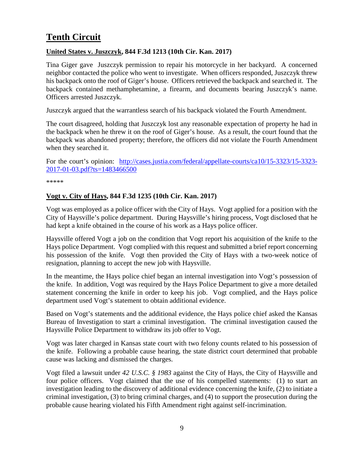# <span id="page-8-0"></span>**Tenth Circuit**

#### <span id="page-8-1"></span>**United States v. Juszczyk, 844 F.3d 1213 (10th Cir. Kan. 2017)**

Tina Giger gave Juszczyk permission to repair his motorcycle in her backyard. A concerned neighbor contacted the police who went to investigate. When officers responded, Juszczyk threw his backpack onto the roof of Giger's house. Officers retrieved the backpack and searched it. The backpack contained methamphetamine, a firearm, and documents bearing Juszczyk's name. Officers arrested Juszczyk.

Juszczyk argued that the warrantless search of his backpack violated the Fourth Amendment.

The court disagreed, holding that Juszczyk lost any reasonable expectation of property he had in the backpack when he threw it on the roof of Giger's house. As a result, the court found that the backpack was abandoned property; therefore, the officers did not violate the Fourth Amendment when they searched it.

For the court's opinion: [http://cases.justia.com/federal/appellate-courts/ca10/15-3323/15-3323-](http://cases.justia.com/federal/appellate-courts/ca10/15-3323/15-3323-2017-01-03.pdf?ts=1483466500)15-3323-15-3323-15-3323-15-3323-15-3323-15-3323-15-3323-15-3323-15-3323-15-3323-15-3323-15-3323-15-3323-15-3323-15-3323-15-3323 [2017-01-03.pdf?ts=1483466500](http://cases.justia.com/federal/appellate-courts/ca10/15-3323/15-3323-2017-01-03.pdf?ts=1483466500)

\*\*\*\*\*

#### <span id="page-8-2"></span>**Vogt v. City of Hays, 844 F.3d 1235 (10th Cir. Kan. 2017)**

Vogt was employed as a police officer with the City of Hays. Vogt applied for a position with the City of Haysville's police department. During Haysville's hiring process, Vogt disclosed that he had kept a knife obtained in the course of his work as a Hays police officer.

Haysville offered Vogt a job on the condition that Vogt report his acquisition of the knife to the Hays police Department. Vogt complied with this request and submitted a brief report concerning his possession of the knife. Vogt then provided the City of Hays with a two-week notice of resignation, planning to accept the new job with Haysville.

In the meantime, the Hays police chief began an internal investigation into Vogt's possession of the knife. In addition, Vogt was required by the Hays Police Department to give a more detailed statement concerning the knife in order to keep his job. Vogt complied, and the Hays police department used Vogt's statement to obtain additional evidence.

Based on Vogt's statements and the additional evidence, the Hays police chief asked the Kansas Bureau of Investigation to start a criminal investigation. The criminal investigation caused the Haysville Police Department to withdraw its job offer to Vogt.

Vogt was later charged in Kansas state court with two felony counts related to his possession of the knife. Following a probable cause hearing, the state district court determined that probable cause was lacking and dismissed the charges.

Vogt filed a lawsuit under *42 U.S.C. § 1983* against the City of Hays, the City of Haysville and four police officers. Vogt claimed that the use of his compelled statements: (1) to start an investigation leading to the discovery of additional evidence concerning the knife, (2) to initiate a criminal investigation, (3) to bring criminal charges, and (4) to support the prosecution during the probable cause hearing violated his Fifth Amendment right against self-incrimination.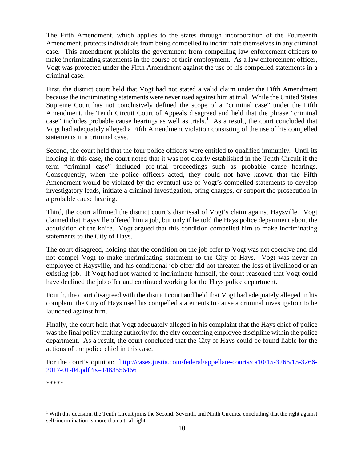The Fifth Amendment, which applies to the states through incorporation of the Fourteenth Amendment, protects individuals from being compelled to incriminate themselves in any criminal case. This amendment prohibits the government from compelling law enforcement officers to make incriminating statements in the course of their employment. As a law enforcement officer, Vogt was protected under the Fifth Amendment against the use of his compelled statements in a criminal case.

First, the district court held that Vogt had not stated a valid claim under the Fifth Amendment because the incriminating statements were never used against him at trial. While the United States Supreme Court has not conclusively defined the scope of a "criminal case" under the Fifth Amendment, the Tenth Circuit Court of Appeals disagreed and held that the phrase "criminal case" includes probable cause hearings as well as trials.<sup>[1](#page-9-1)</sup> As a result, the court concluded that Vogt had adequately alleged a Fifth Amendment violation consisting of the use of his compelled statements in a criminal case.

Second, the court held that the four police officers were entitled to qualified immunity. Until its holding in this case, the court noted that it was not clearly established in the Tenth Circuit if the term "criminal case" included pre-trial proceedings such as probable cause hearings. Consequently, when the police officers acted, they could not have known that the Fifth Amendment would be violated by the eventual use of Vogt's compelled statements to develop investigatory leads, initiate a criminal investigation, bring charges, or support the prosecution in a probable cause hearing.

Third, the court affirmed the district court's dismissal of Vogt's claim against Haysville. Vogt claimed that Haysville offered him a job, but only if he told the Hays police department about the acquisition of the knife. Vogt argued that this condition compelled him to make incriminating statements to the City of Hays.

The court disagreed, holding that the condition on the job offer to Vogt was not coercive and did not compel Vogt to make incriminating statement to the City of Hays. Vogt was never an employee of Haysville, and his conditional job offer did not threaten the loss of livelihood or an existing job. If Vogt had not wanted to incriminate himself, the court reasoned that Vogt could have declined the job offer and continued working for the Hays police department.

Fourth, the court disagreed with the district court and held that Vogt had adequately alleged in his complaint the City of Hays used his compelled statements to cause a criminal investigation to be launched against him.

Finally, the court held that Vogt adequately alleged in his complaint that the Hays chief of police was the final policy making authority for the city concerning employee discipline within the police department. As a result, the court concluded that the City of Hays could be found liable for the actions of the police chief in this case.

For the court's opinion: [http://cases.justia.com/federal/appellate-courts/ca10/15-3266/15-3266-](http://cases.justia.com/federal/appellate-courts/ca10/15-3266/15-3266-2017-01-04.pdf?ts=1483556466) [2017-01-04.pdf?ts=1483556466](http://cases.justia.com/federal/appellate-courts/ca10/15-3266/15-3266-2017-01-04.pdf?ts=1483556466)

<span id="page-9-1"></span><span id="page-9-0"></span><sup>&</sup>lt;sup>1</sup> With this decision, the Tenth Circuit joins the Second, Seventh, and Ninth Circuits, concluding that the right against self-incrimination is more than a trial right.